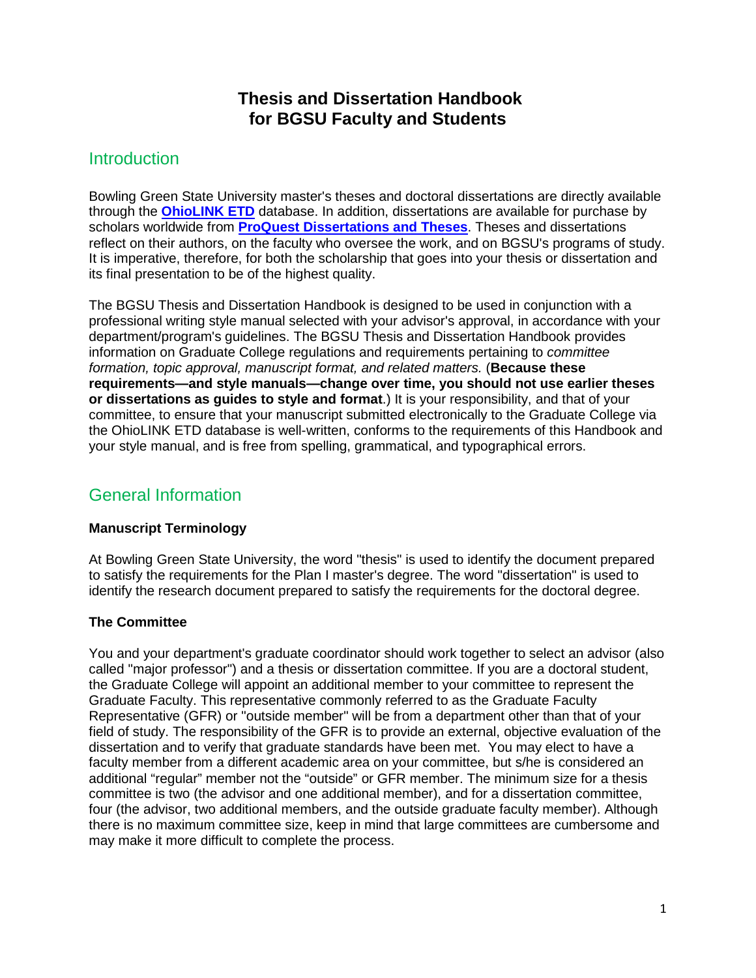# **Thesis and Dissertation Handbook for BGSU Faculty and Students**

# **Introduction**

Bowling Green State University master's theses and doctoral dissertations are directly available through the **[OhioLINK](http://maurice.bgsu.edu/record=e1000206) ETD** database. In addition, dissertations are available for purchase by scholars worldwide from **ProQuest [Dissertations and Theses](http://maurice.bgsu.edu/record=e1000044)**. Theses and dissertations reflect on their authors, on the faculty who oversee the work, and on BGSU's programs of study. It is imperative, therefore, for both the scholarship that goes into your thesis or dissertation and its final presentation to be of the highest quality.

The BGSU Thesis and Dissertation Handbook is designed to be used in conjunction with a professional writing style manual selected with your advisor's approval, in accordance with your department/program's guidelines. The BGSU Thesis and Dissertation Handbook provides information on Graduate College regulations and requirements pertaining to *committee formation, topic approval, manuscript format, and related matters.* (**Because these requirements—and style manuals—change over time, you should not use earlier theses or dissertations as guides to style and format**.) It is your responsibility, and that of your committee, to ensure that your manuscript submitted electronically to the Graduate College via the OhioLINK ETD database is well-written, conforms to the requirements of this Handbook and your style manual, and is free from spelling, grammatical, and typographical errors.

# General Information

# **Manuscript Terminology**

At Bowling Green State University, the word "thesis" is used to identify the document prepared to satisfy the requirements for the Plan I master's degree. The word "dissertation" is used to identify the research document prepared to satisfy the requirements for the doctoral degree.

# **The Committee**

You and your department's graduate coordinator should work together to select an advisor (also called "major professor") and a thesis or dissertation committee. If you are a doctoral student, the Graduate College will appoint an additional member to your committee to represent the Graduate Faculty. This representative commonly referred to as the Graduate Faculty Representative (GFR) or "outside member" will be from a department other than that of your field of study. The responsibility of the GFR is to provide an external, objective evaluation of the dissertation and to verify that graduate standards have been met. You may elect to have a faculty member from a different academic area on your committee, but s/he is considered an additional "regular" member not the "outside" or GFR member. The minimum size for a thesis committee is two (the advisor and one additional member), and for a dissertation committee, four (the advisor, two additional members, and the outside graduate faculty member). Although there is no maximum committee size, keep in mind that large committees are cumbersome and may make it more difficult to complete the process.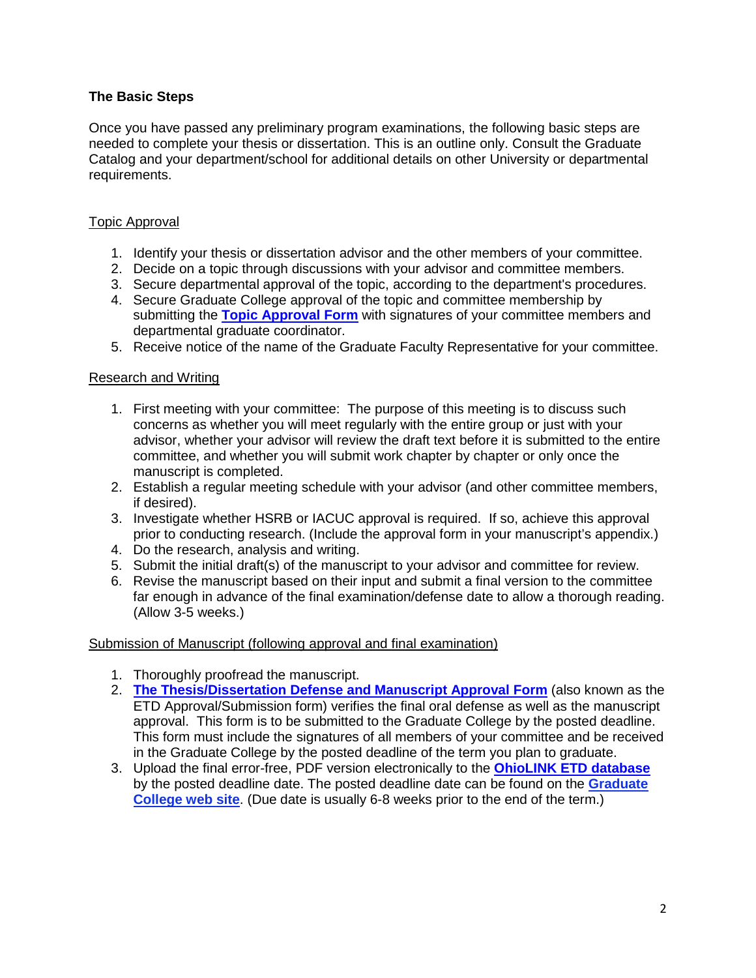# **The Basic Steps**

Once you have passed any preliminary program examinations, the following basic steps are needed to complete your thesis or dissertation. This is an outline only. Consult the Graduate Catalog and your department/school for additional details on other University or departmental requirements.

# Topic Approval

- 1. Identify your thesis or dissertation advisor and the other members of your committee.
- 2. Decide on a topic through discussions with your advisor and committee members.
- 3. Secure departmental approval of the topic, according to the department's procedures.
- 4. Secure Graduate College approval of the topic and committee membership by submitting the **[Topic Approval Form](http://www.bgsu.edu/gradcoll/documents/index.html)** with signatures of your committee members and departmental graduate coordinator.
- 5. Receive notice of the name of the Graduate Faculty Representative for your committee.

#### Research and Writing

- 1. First meeting with your committee: The purpose of this meeting is to discuss such concerns as whether you will meet regularly with the entire group or just with your advisor, whether your advisor will review the draft text before it is submitted to the entire committee, and whether you will submit work chapter by chapter or only once the manuscript is completed.
- 2. Establish a regular meeting schedule with your advisor (and other committee members, if desired).
- 3. Investigate whether HSRB or IACUC approval is required. If so, achieve this approval prior to conducting research. (Include the approval form in your manuscript's appendix.)
- 4. Do the research, analysis and writing.
- 5. Submit the initial draft(s) of the manuscript to your advisor and committee for review.
- 6. Revise the manuscript based on their input and submit a final version to the committee far enough in advance of the final examination/defense date to allow a thorough reading. (Allow 3-5 weeks.)

#### Submission of Manuscript (following approval and final examination)

- 1. Thoroughly proofread the manuscript.
- 2. **[The Thesis/Dissertation Defense and](http://www.bgsu.edu/gradcoll/documents/index.html) Manuscript Approval Form** (also known as the ETD Approval/Submission form) verifies the final oral defense as well as the manuscript approval. This form is to be submitted to the Graduate College by the posted deadline. This form must include the signatures of all members of your committee and be received in the Graduate College by the posted deadline of the term you plan to graduate.
- 3. Upload the final error-free, PDF version electronically to the **OhioLINK [ETD database](http://maurice.bgsuedu/record=e1000206)** by the posted deadline date. The posted deadline date can be found on the **Graduate College web site**. (Due date is usually 6-8 weeks prior to the end of the term.)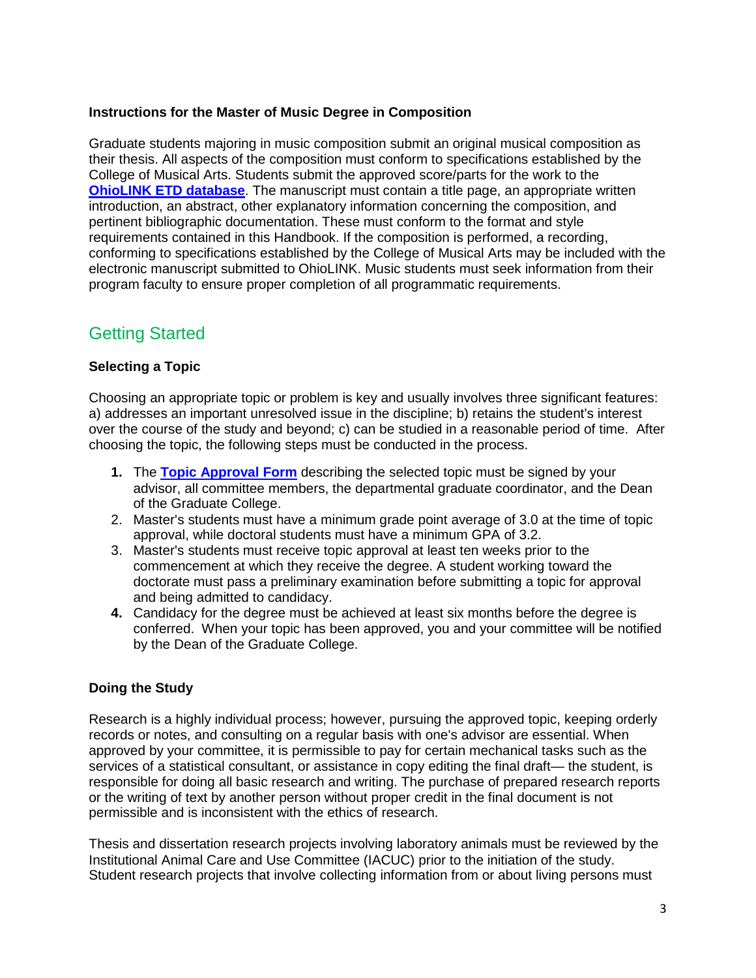# **Instructions for the Master of Music Degree in Composition**

Graduate students majoring in music composition submit an original musical composition as their thesis. All aspects of the composition must conform to specifications established by the College of Musical Arts. Students submit the approved score/parts for the work to the **[OhioLINK](http://maurice.bgsu.edu/record=e1000206) ETD database**. The manuscript must contain a title page, an appropriate written introduction, an abstract, other explanatory information concerning the composition, and pertinent bibliographic documentation. These must conform to the format and style requirements contained in this Handbook. If the composition is performed, a recording, conforming to specifications established by the College of Musical Arts may be included with the electronic manuscript submitted to OhioLINK. Music students must seek information from their program faculty to ensure proper completion of all programmatic requirements.

# Getting Started

# **Selecting a Topic**

Choosing an appropriate topic or problem is key and usually involves three significant features: a) addresses an important unresolved issue in the discipline; b) retains the student's interest over the course of the study and beyond; c) can be studied in a reasonable period of time. After choosing the topic, the following steps must be conducted in the process.

- **1.** The **[Topic Approval Form](http://www.bgsu.edu/gradcoll/index.html)** describing the selected topic must be signed by your advisor, all committee members, the departmental graduate coordinator, and the Dean of the Graduate College.
- 2. Master's students must have a minimum grade point average of 3.0 at the time of topic approval, while doctoral students must have a minimum GPA of 3.2.
- 3. Master's students must receive topic approval at least ten weeks prior to the commencement at which they receive the degree. A student working toward the doctorate must pass a preliminary examination before submitting a topic for approval and being admitted to candidacy.
- **4.** Candidacy for the degree must be achieved at least six months before the degree is conferred. When your topic has been approved, you and your committee will be notified by the Dean of the Graduate College.

# **Doing the Study**

Research is a highly individual process; however, pursuing the approved topic, keeping orderly records or notes, and consulting on a regular basis with one's advisor are essential. When approved by your committee, it is permissible to pay for certain mechanical tasks such as the services of a statistical consultant, or assistance in copy editing the final draft— the student, is responsible for doing all basic research and writing. The purchase of prepared research reports or the writing of text by another person without proper credit in the final document is not permissible and is inconsistent with the ethics of research.

Thesis and dissertation research projects involving laboratory animals must be reviewed by the Institutional Animal Care and Use Committee (IACUC) prior to the initiation of the study. Student research projects that involve collecting information from or about living persons must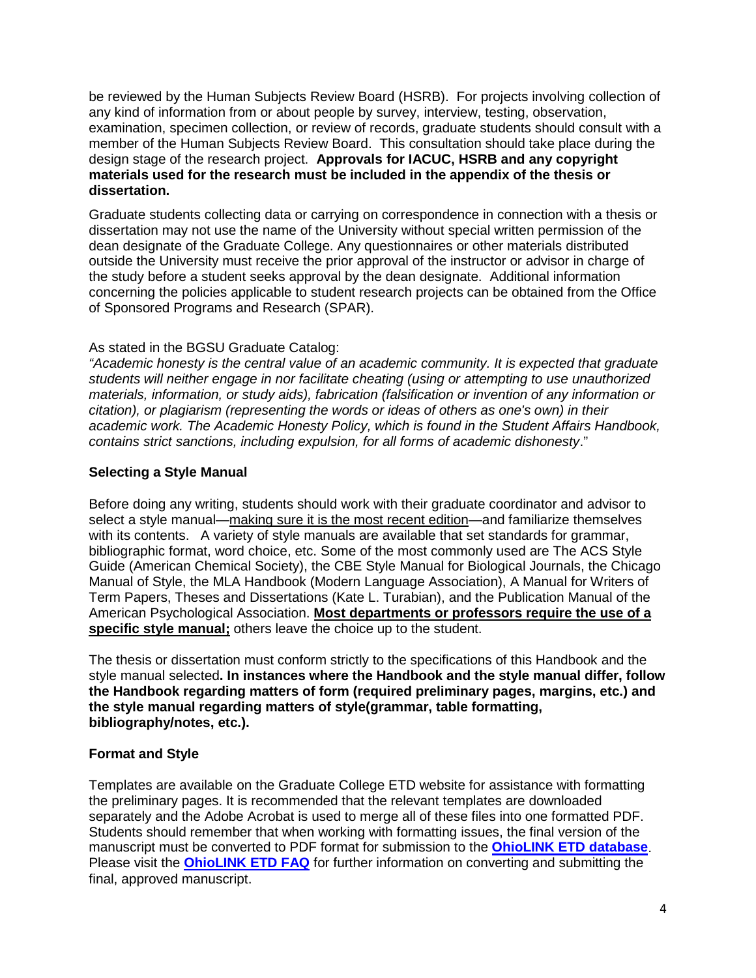be reviewed by the Human Subjects Review Board (HSRB). For projects involving collection of any kind of information from or about people by survey, interview, testing, observation, examination, specimen collection, or review of records, graduate students should consult with a member of the Human Subjects Review Board. This consultation should take place during the design stage of the research project. **Approvals for IACUC, HSRB and any copyright materials used for the research must be included in the appendix of the thesis or dissertation.**

Graduate students collecting data or carrying on correspondence in connection with a thesis or dissertation may not use the name of the University without special written permission of the dean designate of the Graduate College. Any questionnaires or other materials distributed outside the University must receive the prior approval of the instructor or advisor in charge of the study before a student seeks approval by the dean designate. Additional information concerning the policies applicable to student research projects can be obtained from the Office of Sponsored Programs and Research (SPAR).

# As stated in the BGSU Graduate Catalog:

*"Academic honesty is the central value of an academic community. It is expected that graduate students will neither engage in nor facilitate cheating (using or attempting to use unauthorized materials, information, or study aids), fabrication (falsification or invention of any information or citation), or plagiarism (representing the words or ideas of others as one's own) in their academic work. The Academic Honesty Policy, which is found in the Student Affairs Handbook, contains strict sanctions, including expulsion, for all forms of academic dishonesty*."

# **Selecting a Style Manual**

Before doing any writing, students should work with their graduate coordinator and advisor to select a style manual—making sure it is the most recent edition—and familiarize themselves with its contents. A variety of style manuals are available that set standards for grammar, bibliographic format, word choice, etc. Some of the most commonly used are The ACS Style Guide (American Chemical Society), the CBE Style Manual for Biological Journals, the Chicago Manual of Style, the MLA Handbook (Modern Language Association), A Manual for Writers of Term Papers, Theses and Dissertations (Kate L. Turabian), and the Publication Manual of the American Psychological Association. **Most departments or professors require the use of a specific style manual;** others leave the choice up to the student.

The thesis or dissertation must conform strictly to the specifications of this Handbook and the style manual selected**. In instances where the Handbook and the style manual differ, follow the Handbook regarding matters of form (required preliminary pages, margins, etc.) and the style manual regarding matters of style(grammar, table formatting, bibliography/notes, etc.).**

# **Format and Style**

Templates are available on the Graduate College ETD website for assistance with formatting the preliminary pages. It is recommended that the relevant templates are downloaded separately and the Adobe Acrobat is used to merge all of these files into one formatted PDF. Students should remember that when working with formatting issues, the final version of the manuscript must be converted to PDF format for submission to the **[OhioLINK ETD](http://maurice.bgsu.edu/record=e1000206) database**. Please visit the **[OhioLINK ETD FAQ](https://etdadmin.ohiolink.edu/ap:11:193972984418:::::)** for further information on converting and submitting the final, approved manuscript.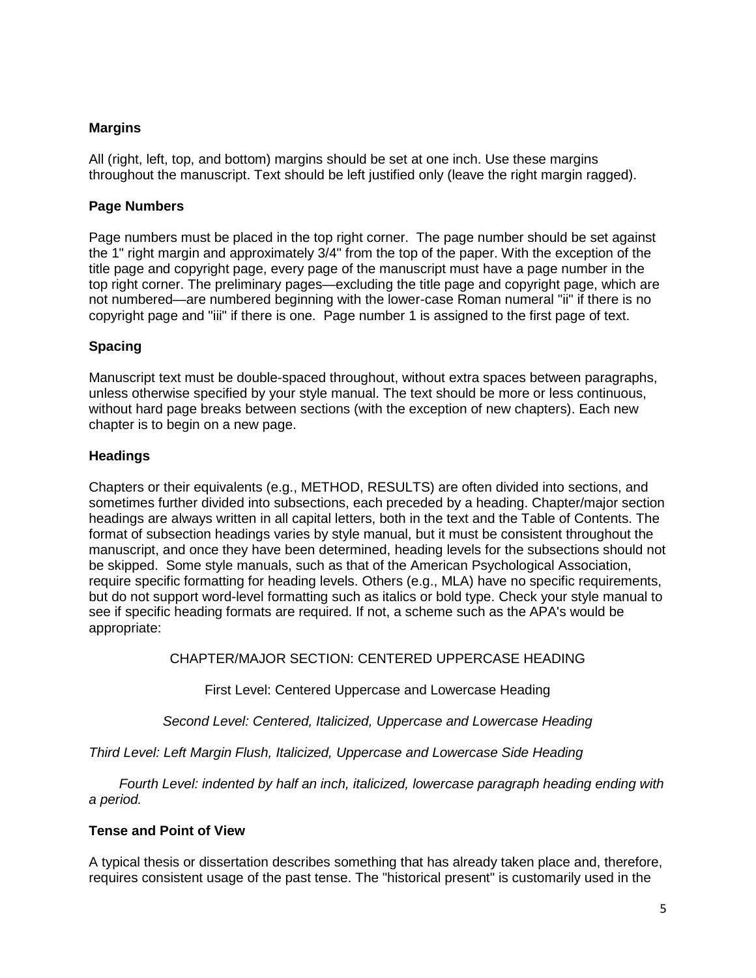# **Margins**

All (right, left, top, and bottom) margins should be set at one inch. Use these margins throughout the manuscript. Text should be left justified only (leave the right margin ragged).

#### **Page Numbers**

Page numbers must be placed in the top right corner. The page number should be set against the 1" right margin and approximately 3/4" from the top of the paper. With the exception of the title page and copyright page, every page of the manuscript must have a page number in the top right corner. The preliminary pages—excluding the title page and copyright page, which are not numbered—are numbered beginning with the lower-case Roman numeral "ii" if there is no copyright page and "iii" if there is one. Page number 1 is assigned to the first page of text.

# **Spacing**

Manuscript text must be double-spaced throughout, without extra spaces between paragraphs, unless otherwise specified by your style manual. The text should be more or less continuous, without hard page breaks between sections (with the exception of new chapters). Each new chapter is to begin on a new page.

# **Headings**

Chapters or their equivalents (e.g., METHOD, RESULTS) are often divided into sections, and sometimes further divided into subsections, each preceded by a heading. Chapter/major section headings are always written in all capital letters, both in the text and the Table of Contents. The format of subsection headings varies by style manual, but it must be consistent throughout the manuscript, and once they have been determined, heading levels for the subsections should not be skipped. Some style manuals, such as that of the American Psychological Association, require specific formatting for heading levels. Others (e.g., MLA) have no specific requirements, but do not support word-level formatting such as italics or bold type. Check your style manual to see if specific heading formats are required. If not, a scheme such as the APA's would be appropriate:

# CHAPTER/MAJOR SECTION: CENTERED UPPERCASE HEADING

First Level: Centered Uppercase and Lowercase Heading

*Second Level: Centered, Italicized, Uppercase and Lowercase Heading*

*Third Level: Left Margin Flush, Italicized, Uppercase and Lowercase Side Heading*

 *Fourth Level: indented by half an inch, italicized, lowercase paragraph heading ending with a period.*

# **Tense and Point of View**

A typical thesis or dissertation describes something that has already taken place and, therefore, requires consistent usage of the past tense. The "historical present" is customarily used in the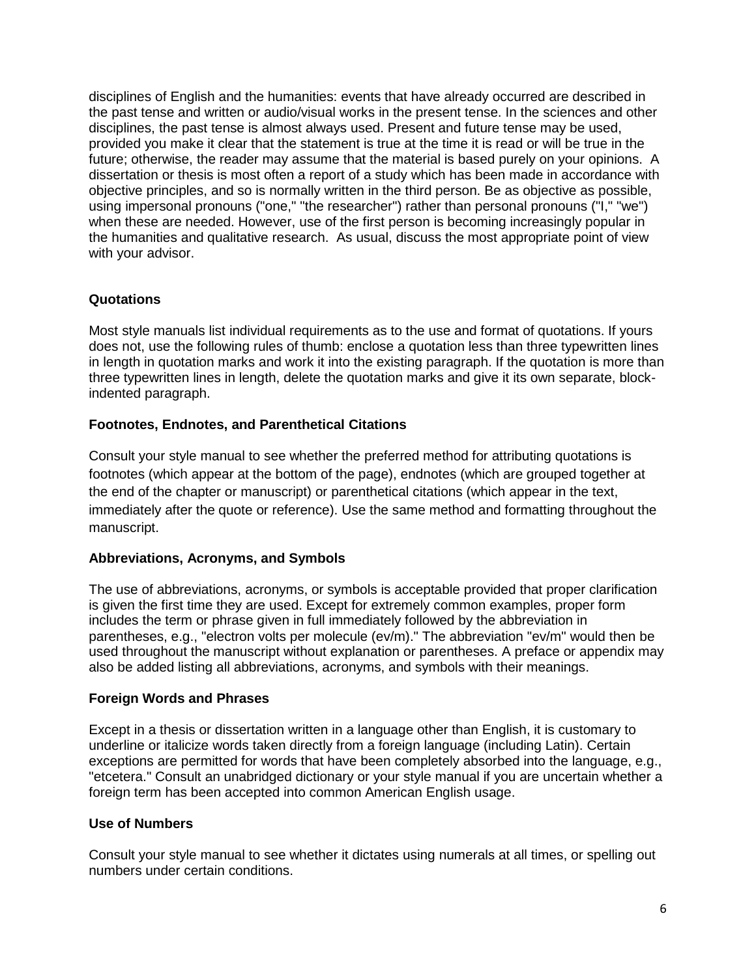disciplines of English and the humanities: events that have already occurred are described in the past tense and written or audio/visual works in the present tense. In the sciences and other disciplines, the past tense is almost always used. Present and future tense may be used, provided you make it clear that the statement is true at the time it is read or will be true in the future; otherwise, the reader may assume that the material is based purely on your opinions. A dissertation or thesis is most often a report of a study which has been made in accordance with objective principles, and so is normally written in the third person. Be as objective as possible, using impersonal pronouns ("one," "the researcher") rather than personal pronouns ("I," "we") when these are needed. However, use of the first person is becoming increasingly popular in the humanities and qualitative research. As usual, discuss the most appropriate point of view with your advisor.

# **Quotations**

Most style manuals list individual requirements as to the use and format of quotations. If yours does not, use the following rules of thumb: enclose a quotation less than three typewritten lines in length in quotation marks and work it into the existing paragraph. If the quotation is more than three typewritten lines in length, delete the quotation marks and give it its own separate, blockindented paragraph.

# **Footnotes, Endnotes, and Parenthetical Citations**

Consult your style manual to see whether the preferred method for attributing quotations is footnotes (which appear at the bottom of the page), endnotes (which are grouped together at the end of the chapter or manuscript) or parenthetical citations (which appear in the text, immediately after the quote or reference). Use the same method and formatting throughout the manuscript.

# **Abbreviations, Acronyms, and Symbols**

The use of abbreviations, acronyms, or symbols is acceptable provided that proper clarification is given the first time they are used. Except for extremely common examples, proper form includes the term or phrase given in full immediately followed by the abbreviation in parentheses, e.g., "electron volts per molecule (ev/m)." The abbreviation "ev/m" would then be used throughout the manuscript without explanation or parentheses. A preface or appendix may also be added listing all abbreviations, acronyms, and symbols with their meanings.

# **Foreign Words and Phrases**

Except in a thesis or dissertation written in a language other than English, it is customary to underline or italicize words taken directly from a foreign language (including Latin). Certain exceptions are permitted for words that have been completely absorbed into the language, e.g., "etcetera." Consult an unabridged dictionary or your style manual if you are uncertain whether a foreign term has been accepted into common American English usage.

# **Use of Numbers**

Consult your style manual to see whether it dictates using numerals at all times, or spelling out numbers under certain conditions.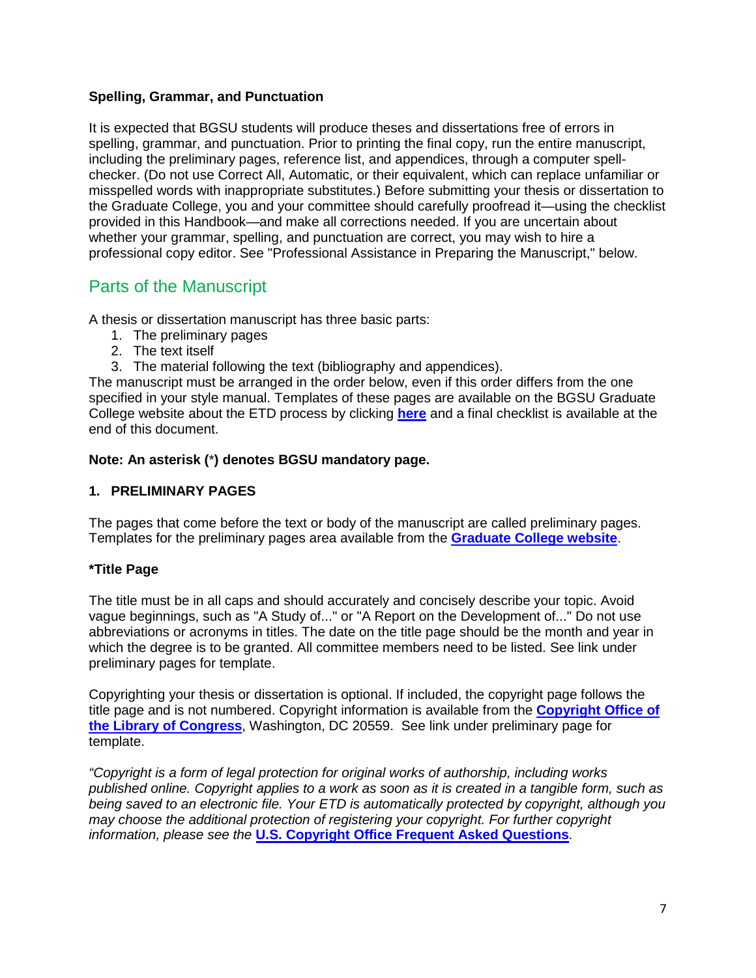# **Spelling, Grammar, and Punctuation**

It is expected that BGSU students will produce theses and dissertations free of errors in spelling, grammar, and punctuation. Prior to printing the final copy, run the entire manuscript, including the preliminary pages, reference list, and appendices, through a computer spellchecker. (Do not use Correct All, Automatic, or their equivalent, which can replace unfamiliar or misspelled words with inappropriate substitutes.) Before submitting your thesis or dissertation to the Graduate College, you and your committee should carefully proofread it—using the checklist provided in this Handbook—and make all corrections needed. If you are uncertain about whether your grammar, spelling, and punctuation are correct, you may wish to hire a professional copy editor. See "Professional Assistance in Preparing the Manuscript," below.

# Parts of the Manuscript

A thesis or dissertation manuscript has three basic parts:

- 1. The preliminary pages
- 2. The text itself
- 3. The material following the text (bibliography and appendices).

The manuscript must be arranged in the order below, even if this order differs from the one specified in your style manual. Templates of these pages are available on the BGSU Graduate College website about the ETD process by clicking **[here](http://www.bgsu.edu/gradcoll/tdhandbook/index.html)** and a final checklist is available at the end of this document.

# **Note: An asterisk (**\***) denotes BGSU mandatory page.**

# **1. PRELIMINARY PAGES**

The pages that come before the text or body of the manuscript are called preliminary pages. Templates for the preliminary pages area available from the **[Graduate College website](http://www.bgsu.edu/gradcoll/etd/page25107.html)**.

# **\*Title Page**

The title must be in all caps and should accurately and concisely describe your topic. Avoid vague beginnings, such as "A Study of..." or "A Report on the Development of..." Do not use abbreviations or acronyms in titles. The date on the title page should be the month and year in which the degree is to be granted. All committee members need to be listed. See link under preliminary pages for template.

Copyrighting your thesis or dissertation is optional. If included, the copyright page follows the title page and is not numbered. Copyright information is available from the **[Copyright Office of](http://www.copyright.gov/)  [the Library of Congress](http://www.copyright.gov/)**, Washington, DC 20559. See link under preliminary page for template.

*"Copyright is a form of legal protection for original works of authorship, including works published online. Copyright applies to a work as soon as it is created in a tangible form, such as being saved to an electronic file. Your ETD is automatically protected by copyright, although you may choose the additional protection of registering your copyright. For further copyright information, please see the* **[U.S. Copyright Office Frequent Asked Questions](http://www.copyright.gov/)**.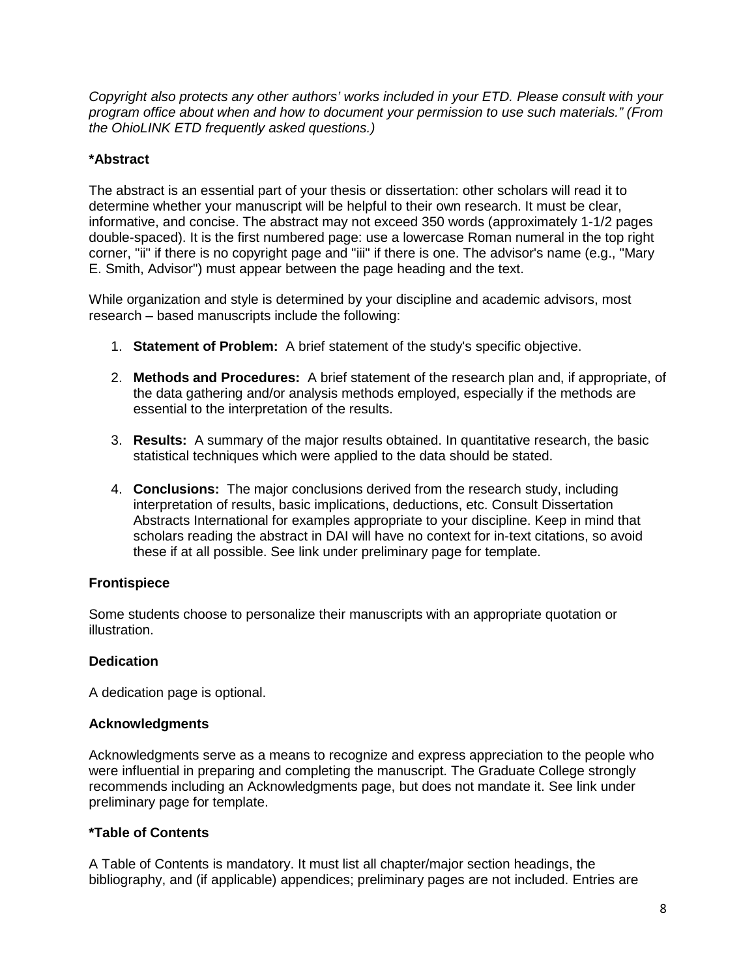*Copyright also protects any other authors' works included in your ETD. Please consult with your program office about when and how to document your permission to use such materials." (From the OhioLINK ETD frequently asked questions.)*

# **\*Abstract**

The abstract is an essential part of your thesis or dissertation: other scholars will read it to determine whether your manuscript will be helpful to their own research. It must be clear, informative, and concise. The abstract may not exceed 350 words (approximately 1-1/2 pages double-spaced). It is the first numbered page: use a lowercase Roman numeral in the top right corner, "ii" if there is no copyright page and "iii" if there is one. The advisor's name (e.g., "Mary E. Smith, Advisor") must appear between the page heading and the text.

While organization and style is determined by your discipline and academic advisors, most research – based manuscripts include the following:

- 1. **Statement of Problem:** A brief statement of the study's specific objective.
- 2. **Methods and Procedures:** A brief statement of the research plan and, if appropriate, of the data gathering and/or analysis methods employed, especially if the methods are essential to the interpretation of the results.
- 3. **Results:** A summary of the major results obtained. In quantitative research, the basic statistical techniques which were applied to the data should be stated.
- 4. **Conclusions:** The major conclusions derived from the research study, including interpretation of results, basic implications, deductions, etc. Consult Dissertation Abstracts International for examples appropriate to your discipline. Keep in mind that scholars reading the abstract in DAI will have no context for in-text citations, so avoid these if at all possible. See link under preliminary page for template.

# **Frontispiece**

Some students choose to personalize their manuscripts with an appropriate quotation or illustration.

# **Dedication**

A dedication page is optional.

# **Acknowledgments**

Acknowledgments serve as a means to recognize and express appreciation to the people who were influential in preparing and completing the manuscript. The Graduate College strongly recommends including an Acknowledgments page, but does not mandate it. See link under preliminary page for template.

# **\*Table of Contents**

A Table of Contents is mandatory. It must list all chapter/major section headings, the bibliography, and (if applicable) appendices; preliminary pages are not included. Entries are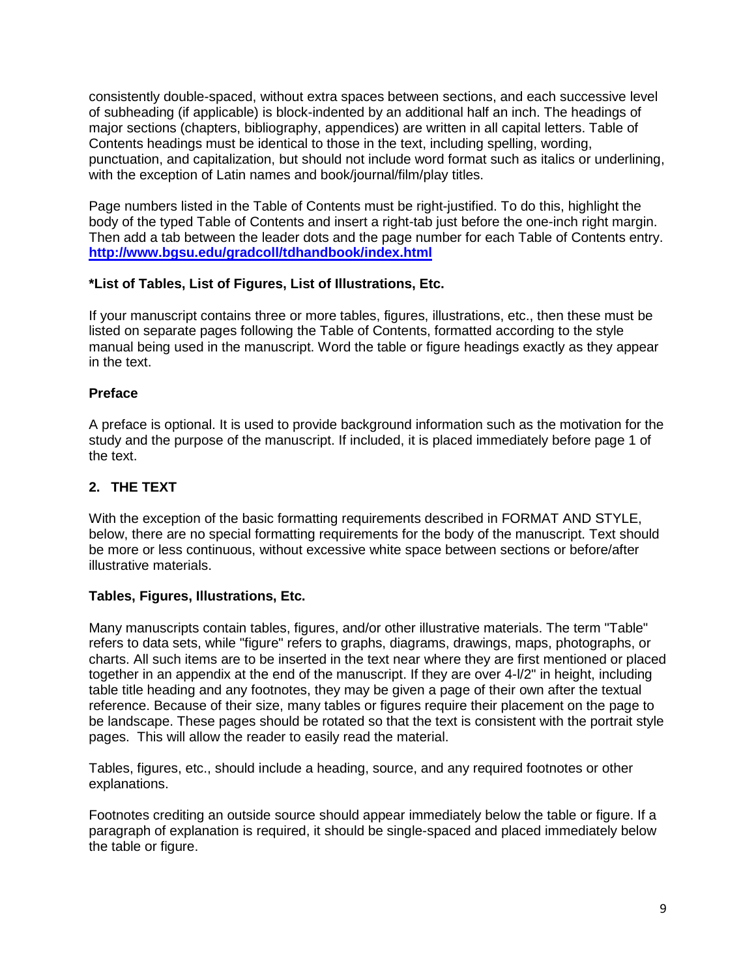consistently double-spaced, without extra spaces between sections, and each successive level of subheading (if applicable) is block-indented by an additional half an inch. The headings of major sections (chapters, bibliography, appendices) are written in all capital letters. Table of Contents headings must be identical to those in the text, including spelling, wording, punctuation, and capitalization, but should not include word format such as italics or underlining, with the exception of Latin names and book/journal/film/play titles.

Page numbers listed in the Table of Contents must be right-justified. To do this, highlight the body of the typed Table of Contents and insert a right-tab just before the one-inch right margin. Then add a tab between the leader dots and the page number for each Table of Contents entry. **<http://www.bgsu.edu/gradcoll/tdhandbook/index.html>**

# **\*List of Tables, List of Figures, List of Illustrations, Etc.**

If your manuscript contains three or more tables, figures, illustrations, etc., then these must be listed on separate pages following the Table of Contents, formatted according to the style manual being used in the manuscript. Word the table or figure headings exactly as they appear in the text.

#### **Preface**

A preface is optional. It is used to provide background information such as the motivation for the study and the purpose of the manuscript. If included, it is placed immediately before page 1 of the text.

# **2. THE TEXT**

With the exception of the basic formatting requirements described in FORMAT AND STYLE, below, there are no special formatting requirements for the body of the manuscript. Text should be more or less continuous, without excessive white space between sections or before/after illustrative materials.

#### **Tables, Figures, Illustrations, Etc.**

Many manuscripts contain tables, figures, and/or other illustrative materials. The term "Table" refers to data sets, while "figure" refers to graphs, diagrams, drawings, maps, photographs, or charts. All such items are to be inserted in the text near where they are first mentioned or placed together in an appendix at the end of the manuscript. If they are over 4-l/2" in height, including table title heading and any footnotes, they may be given a page of their own after the textual reference. Because of their size, many tables or figures require their placement on the page to be landscape. These pages should be rotated so that the text is consistent with the portrait style pages. This will allow the reader to easily read the material.

Tables, figures, etc., should include a heading, source, and any required footnotes or other explanations.

Footnotes crediting an outside source should appear immediately below the table or figure. If a paragraph of explanation is required, it should be single-spaced and placed immediately below the table or figure.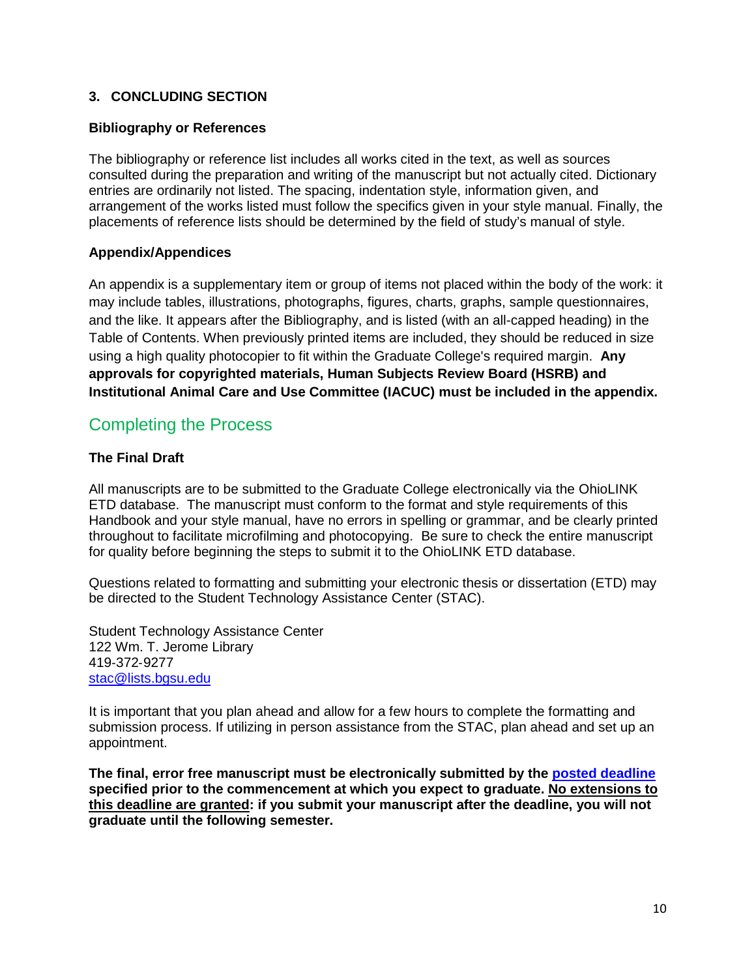# **3. CONCLUDING SECTION**

# **Bibliography or References**

The bibliography or reference list includes all works cited in the text, as well as sources consulted during the preparation and writing of the manuscript but not actually cited. Dictionary entries are ordinarily not listed. The spacing, indentation style, information given, and arrangement of the works listed must follow the specifics given in your style manual. Finally, the placements of reference lists should be determined by the field of study's manual of style.

#### **Appendix/Appendices**

An appendix is a supplementary item or group of items not placed within the body of the work: it may include tables, illustrations, photographs, figures, charts, graphs, sample questionnaires, and the like. It appears after the Bibliography, and is listed (with an all-capped heading) in the Table of Contents. When previously printed items are included, they should be reduced in size using a high quality photocopier to fit within the Graduate College's required margin. **Any approvals for copyrighted materials, Human Subjects Review Board (HSRB) and Institutional Animal Care and Use Committee (IACUC) must be included in the appendix.**

# Completing the Process

# **The Final Draft**

All manuscripts are to be submitted to the Graduate College electronically via the OhioLINK ETD database. The manuscript must conform to the format and style requirements of this Handbook and your style manual, have no errors in spelling or grammar, and be clearly printed throughout to facilitate microfilming and photocopying. Be sure to check the entire manuscript for quality before beginning the steps to submit it to the OhioLINK ETD database.

Questions related to formatting and submitting your electronic thesis or dissertation (ETD) may be directed to the Student Technology Assistance Center (STAC).

Student Technology Assistance Center 122 Wm. T. Jerome Library 419‐372‐9277 [stac@lists.bgsu.edu](mailto:stac@lists.bgsu.edu)

It is important that you plan ahead and allow for a few hours to complete the formatting and submission process. If utilizing in person assistance from the STAC, plan ahead and set up an appointment.

**The final, error free manuscript must be electronically submitted by the [posted deadline](http://www.bgsu.edu/gradcoll/etd/page26501.html) specified prior to the commencement at which you expect to graduate. No extensions to this deadline are granted: if you submit your manuscript after the deadline, you will not graduate until the following semester.**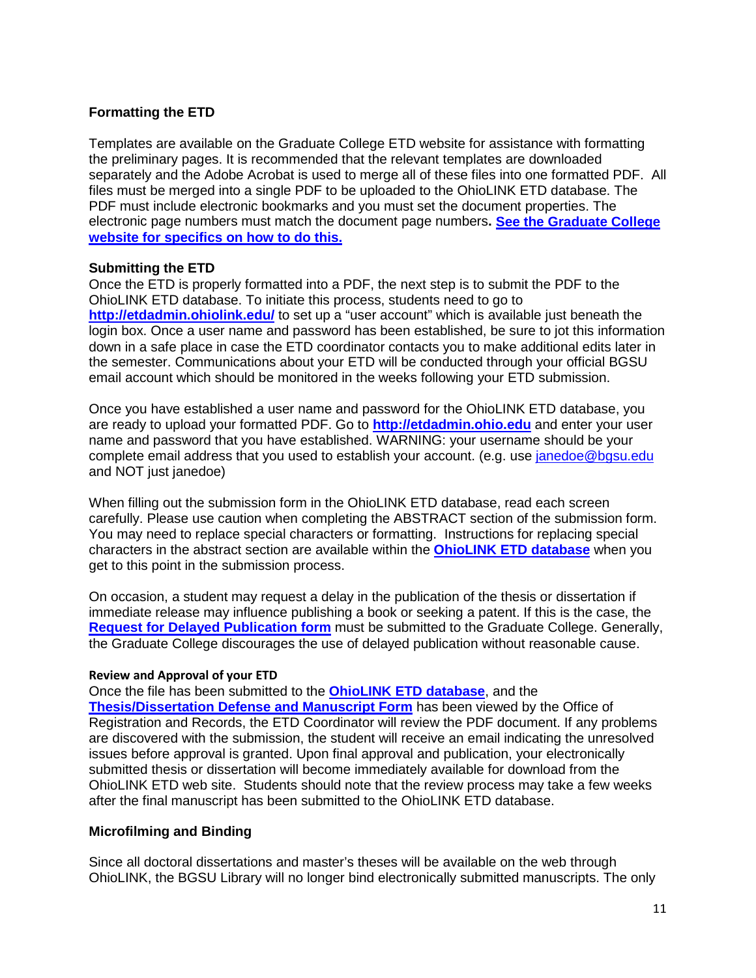# **Formatting the ETD**

Templates are available on the Graduate College ETD website for assistance with formatting the preliminary pages. It is recommended that the relevant templates are downloaded separately and the Adobe Acrobat is used to merge all of these files into one formatted PDF. All files must be merged into a single PDF to be uploaded to the OhioLINK ETD database. The PDF must include electronic bookmarks and you must set the document properties. The electronic page numbers must match the document page numbers**. [See the Graduate College](http://www.bgsu.edu/gradcoll/etd/page25107.html)  [website for specifics on how to do this.](http://www.bgsu.edu/gradcoll/etd/page25107.html)**

#### **Submitting the ETD**

Once the ETD is properly formatted into a PDF, the next step is to submit the PDF to the OhioLINK ETD database. To initiate this process, students need to go to **<http://etdadmin.ohiolink.edu/>** to set up a "user account" which is available just beneath the login box. Once a user name and password has been established, be sure to jot this information down in a safe place in case the ETD coordinator contacts you to make additional edits later in the semester. Communications about your ETD will be conducted through your official BGSU email account which should be monitored in the weeks following your ETD submission.

Once you have established a user name and password for the OhioLINK ETD database, you are ready to upload your formatted PDF. Go to **[http://etdadmin.ohio.edu](http://etdadmin.ohio.edu/)** and enter your user name and password that you have established. WARNING: your username should be your complete email address that you used to establish your account. (e.g. use [janedoe@bgsu.edu](mailto:janedoe@bgsu.edu) and NOT just janedoe)

When filling out the submission form in the OhioLINK ETD database, read each screen carefully. Please use caution when completing the ABSTRACT section of the submission form. You may need to replace special characters or formatting. Instructions for replacing special characters in the abstract section are available within the **[OhioLINK ETD database](http://maurice.bgsu.edu/record=e1000206)** when you get to this point in the submission process.

On occasion, a student may request a delay in the publication of the thesis or dissertation if immediate release may influence publishing a book or seeking a patent. If this is the case, the **[Request for Delayed Publication form](http://www.bgsu.edu/gradcoll/etd/page25392.html)** must be submitted to the Graduate College. Generally, the Graduate College discourages the use of delayed publication without reasonable cause.

#### **Review and Approval of your ETD**

Once the file has been submitted to the **[OhioLINK ETD](http://maurice.bgsu.edu/record=e1000206) database**, and the **[Thesis/Dissertation Defense and Manuscript Form](http://www.bgsu.edu/gradcoll/documents/index.html)** has been viewed by the Office of Registration and Records, the ETD Coordinator will review the PDF document. If any problems are discovered with the submission, the student will receive an email indicating the unresolved issues before approval is granted. Upon final approval and publication, your electronically submitted thesis or dissertation will become immediately available for download from the OhioLINK ETD web site. Students should note that the review process may take a few weeks after the final manuscript has been submitted to the OhioLINK ETD database.

#### **Microfilming and Binding**

Since all doctoral dissertations and master's theses will be available on the web through OhioLINK, the BGSU Library will no longer bind electronically submitted manuscripts. The only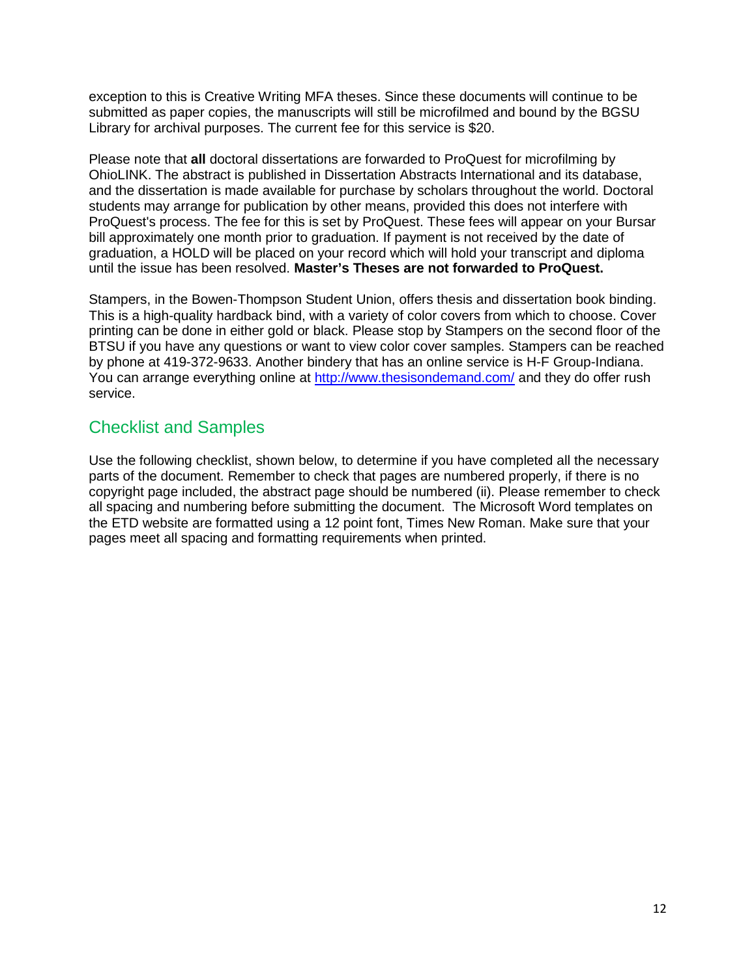exception to this is Creative Writing MFA theses. Since these documents will continue to be submitted as paper copies, the manuscripts will still be microfilmed and bound by the BGSU Library for archival purposes. The current fee for this service is \$20.

Please note that **all** doctoral dissertations are forwarded to ProQuest for microfilming by OhioLINK. The abstract is published in Dissertation Abstracts International and its database, and the dissertation is made available for purchase by scholars throughout the world. Doctoral students may arrange for publication by other means, provided this does not interfere with ProQuest's process. The fee for this is set by ProQuest. These fees will appear on your Bursar bill approximately one month prior to graduation. If payment is not received by the date of graduation, a HOLD will be placed on your record which will hold your transcript and diploma until the issue has been resolved. **Master's Theses are not forwarded to ProQuest.**

Stampers, in the Bowen-Thompson Student Union, offers thesis and dissertation book binding. This is a high-quality hardback bind, with a variety of color covers from which to choose. Cover printing can be done in either gold or black. Please stop by Stampers on the second floor of the BTSU if you have any questions or want to view color cover samples. Stampers can be reached by phone at 419-372-9633. Another bindery that has an online service is H-F Group-Indiana. You can arrange everything online at<http://www.thesisondemand.com/> and they do offer rush service.

# Checklist and Samples

Use the following checklist, shown below, to determine if you have completed all the necessary parts of the document. Remember to check that pages are numbered properly, if there is no copyright page included, the abstract page should be numbered (ii). Please remember to check all spacing and numbering before submitting the document. The Microsoft Word templates on the ETD website are formatted using a 12 point font, Times New Roman. Make sure that your pages meet all spacing and formatting requirements when printed.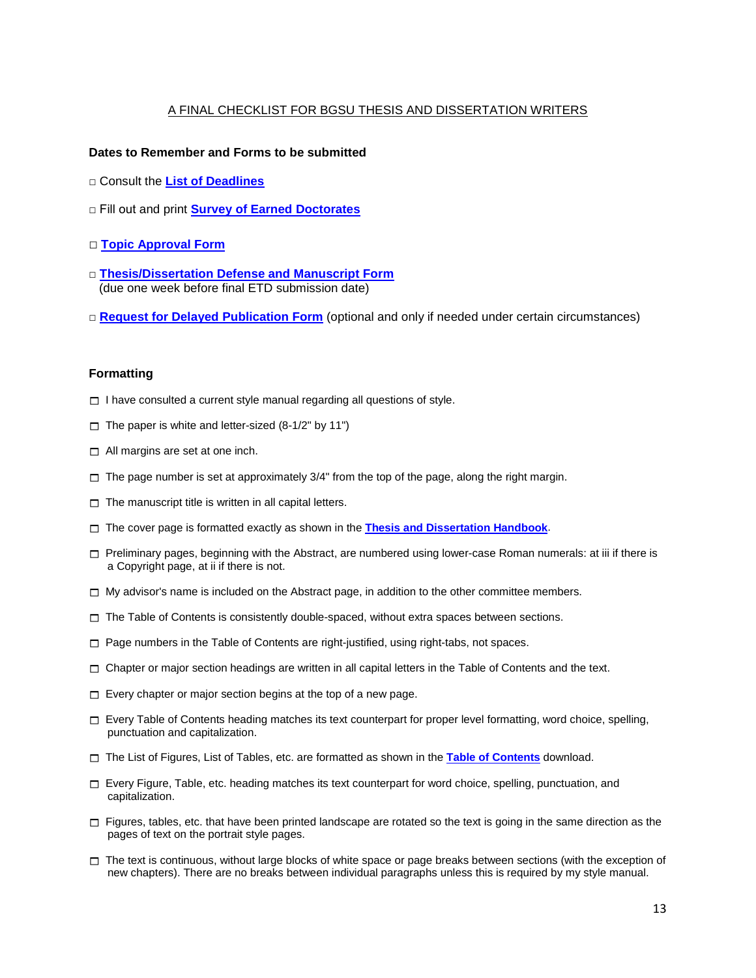#### A FINAL CHECKLIST FOR BGSU THESIS AND DISSERTATION WRITERS

#### **Dates to Remember and Forms to be submitted**

- □ Consult the **[List of Deadlines](http://www.bgsu.edu/gradcoll/page27074.html)**
- □ Fill out and print **[Survey of Earned Doctorates](http://www.bgsu.edu/downloads/gradcol/file27084.pdf)**
- □ **[Topic Approval Form](http://www.bgsu.edu/gradcoll/documents/index.html)**
- □ **[Thesis/Dissertation Defense and Manuscript Form](http://www.bgsu.edu/gradcoll/documents/index.html)** (due one week before final ETD submission date)
- **□ [Request for Delayed Publication Form](http://www.bgsu.edu/gradcoll/documents/index.html)** (optional and only if needed under certain circumstances)

#### **Formatting**

- $\Box$  I have consulted a current style manual regarding all questions of style.
- $\Box$  The paper is white and letter-sized (8-1/2" by 11")
- $\Box$  All margins are set at one inch.
- $\Box$  The page number is set at approximately 3/4" from the top of the page, along the right margin.
- $\Box$  The manuscript title is written in all capital letters.
- $\Box$  The cover page is formatted exactly as shown in the **[Thesis and Dissertation Handbook](http://www.bgsu.edu/gradcoll/tdhandbook/index.html)**.
- $\Box$  Preliminary pages, beginning with the Abstract, are numbered using lower-case Roman numerals: at iii if there is a Copyright page, at ii if there is not.
- $\Box$  My advisor's name is included on the Abstract page, in addition to the other committee members.
- $\Box$  The Table of Contents is consistently double-spaced, without extra spaces between sections.
- $\Box$  Page numbers in the Table of Contents are right-justified, using right-tabs, not spaces.
- $\Box$  Chapter or major section headings are written in all capital letters in the Table of Contents and the text.
- $\Box$  Every chapter or major section begins at the top of a new page.
- $\Box$  Every Table of Contents heading matches its text counterpart for proper level formatting, word choice, spelling, punctuation and capitalization.
- □ The List of Figures, List of Tables, etc. are formatted as shown in the [Table of Contents](http://www.bgsu.edu/gradcoll/tdhandbook/index.html) download.
- $\Box$  Every Figure, Table, etc. heading matches its text counterpart for word choice, spelling, punctuation, and capitalization.
- $\Box$  Figures, tables, etc. that have been printed landscape are rotated so the text is going in the same direction as the pages of text on the portrait style pages.
- $\Box$  The text is continuous, without large blocks of white space or page breaks between sections (with the exception of new chapters). There are no breaks between individual paragraphs unless this is required by my style manual.